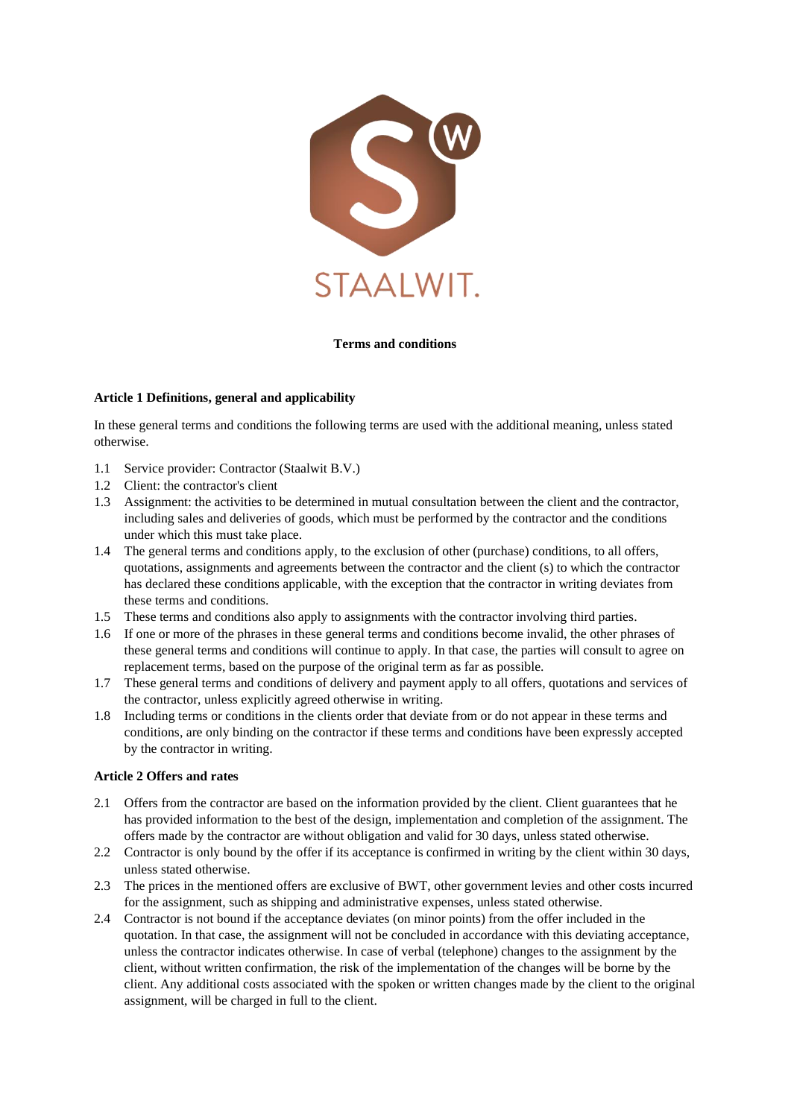

#### **Terms and conditions**

#### **Article 1 Definitions, general and applicability**

In these general terms and conditions the following terms are used with the additional meaning, unless stated otherwise.

- 1.1 Service provider: Contractor (Staalwit B.V.)
- 1.2 Client: the contractor's client
- 1.3 Assignment: the activities to be determined in mutual consultation between the client and the contractor, including sales and deliveries of goods, which must be performed by the contractor and the conditions under which this must take place.
- 1.4 The general terms and conditions apply, to the exclusion of other (purchase) conditions, to all offers, quotations, assignments and agreements between the contractor and the client (s) to which the contractor has declared these conditions applicable, with the exception that the contractor in writing deviates from these terms and conditions.
- 1.5 These terms and conditions also apply to assignments with the contractor involving third parties.
- 1.6 If one or more of the phrases in these general terms and conditions become invalid, the other phrases of these general terms and conditions will continue to apply. In that case, the parties will consult to agree on replacement terms, based on the purpose of the original term as far as possible.
- 1.7 These general terms and conditions of delivery and payment apply to all offers, quotations and services of the contractor, unless explicitly agreed otherwise in writing.
- 1.8 Including terms or conditions in the clients order that deviate from or do not appear in these terms and conditions, are only binding on the contractor if these terms and conditions have been expressly accepted by the contractor in writing.

#### **Article 2 Offers and rates**

- 2.1 Offers from the contractor are based on the information provided by the client. Client guarantees that he has provided information to the best of the design, implementation and completion of the assignment. The offers made by the contractor are without obligation and valid for 30 days, unless stated otherwise.
- 2.2 Contractor is only bound by the offer if its acceptance is confirmed in writing by the client within 30 days, unless stated otherwise.
- 2.3 The prices in the mentioned offers are exclusive of BWT, other government levies and other costs incurred for the assignment, such as shipping and administrative expenses, unless stated otherwise.
- 2.4 Contractor is not bound if the acceptance deviates (on minor points) from the offer included in the quotation. In that case, the assignment will not be concluded in accordance with this deviating acceptance, unless the contractor indicates otherwise. In case of verbal (telephone) changes to the assignment by the client, without written confirmation, the risk of the implementation of the changes will be borne by the client. Any additional costs associated with the spoken or written changes made by the client to the original assignment, will be charged in full to the client.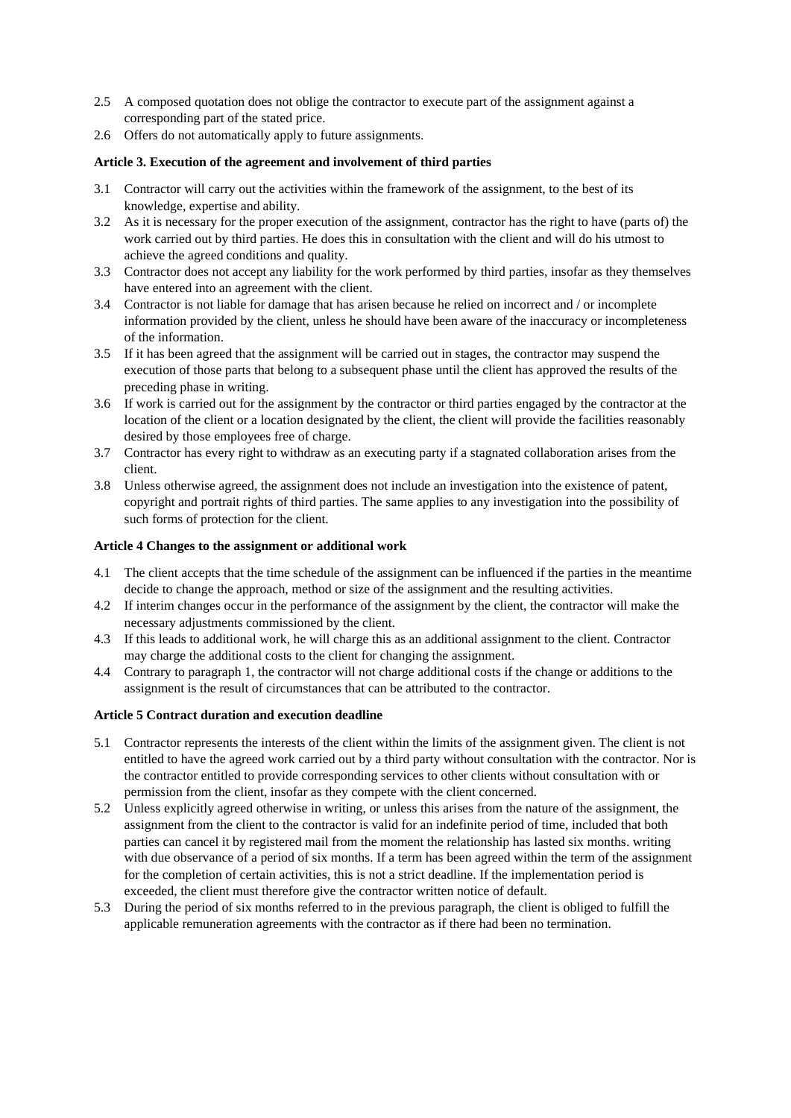- 2.5 A composed quotation does not oblige the contractor to execute part of the assignment against a corresponding part of the stated price.
- 2.6 Offers do not automatically apply to future assignments.

### **Article 3. Execution of the agreement and involvement of third parties**

- 3.1 Contractor will carry out the activities within the framework of the assignment, to the best of its knowledge, expertise and ability.
- 3.2 As it is necessary for the proper execution of the assignment, contractor has the right to have (parts of) the work carried out by third parties. He does this in consultation with the client and will do his utmost to achieve the agreed conditions and quality.
- 3.3 Contractor does not accept any liability for the work performed by third parties, insofar as they themselves have entered into an agreement with the client.
- 3.4 Contractor is not liable for damage that has arisen because he relied on incorrect and / or incomplete information provided by the client, unless he should have been aware of the inaccuracy or incompleteness of the information.
- 3.5 If it has been agreed that the assignment will be carried out in stages, the contractor may suspend the execution of those parts that belong to a subsequent phase until the client has approved the results of the preceding phase in writing.
- 3.6 If work is carried out for the assignment by the contractor or third parties engaged by the contractor at the location of the client or a location designated by the client, the client will provide the facilities reasonably desired by those employees free of charge.
- 3.7 Contractor has every right to withdraw as an executing party if a stagnated collaboration arises from the client.
- 3.8 Unless otherwise agreed, the assignment does not include an investigation into the existence of patent, copyright and portrait rights of third parties. The same applies to any investigation into the possibility of such forms of protection for the client.

## **Article 4 Changes to the assignment or additional work**

- 4.1 The client accepts that the time schedule of the assignment can be influenced if the parties in the meantime decide to change the approach, method or size of the assignment and the resulting activities.
- 4.2 If interim changes occur in the performance of the assignment by the client, the contractor will make the necessary adjustments commissioned by the client.
- 4.3 If this leads to additional work, he will charge this as an additional assignment to the client. Contractor may charge the additional costs to the client for changing the assignment.
- 4.4 Contrary to paragraph 1, the contractor will not charge additional costs if the change or additions to the assignment is the result of circumstances that can be attributed to the contractor.

# **Article 5 Contract duration and execution deadline**

- 5.1 Contractor represents the interests of the client within the limits of the assignment given. The client is not entitled to have the agreed work carried out by a third party without consultation with the contractor. Nor is the contractor entitled to provide corresponding services to other clients without consultation with or permission from the client, insofar as they compete with the client concerned.
- 5.2 Unless explicitly agreed otherwise in writing, or unless this arises from the nature of the assignment, the assignment from the client to the contractor is valid for an indefinite period of time, included that both parties can cancel it by registered mail from the moment the relationship has lasted six months. writing with due observance of a period of six months. If a term has been agreed within the term of the assignment for the completion of certain activities, this is not a strict deadline. If the implementation period is exceeded, the client must therefore give the contractor written notice of default.
- 5.3 During the period of six months referred to in the previous paragraph, the client is obliged to fulfill the applicable remuneration agreements with the contractor as if there had been no termination.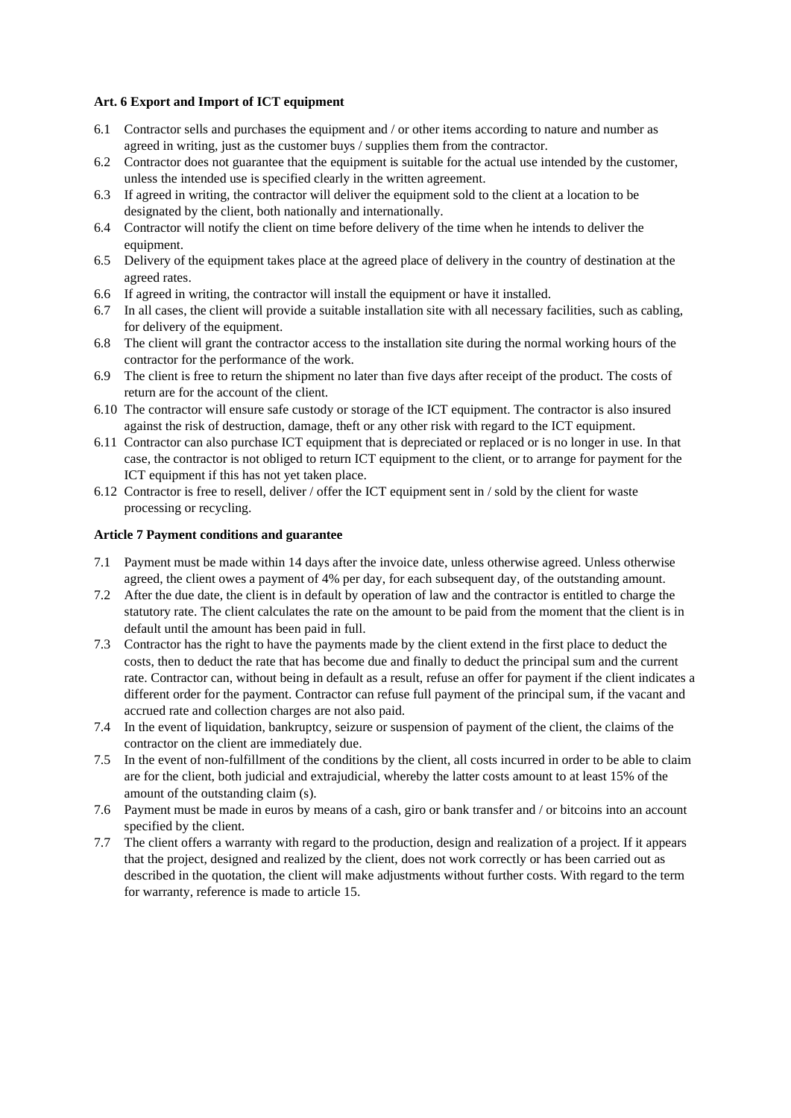### **Art. 6 Export and Import of ICT equipment**

- 6.1 Contractor sells and purchases the equipment and / or other items according to nature and number as agreed in writing, just as the customer buys / supplies them from the contractor.
- 6.2 Contractor does not guarantee that the equipment is suitable for the actual use intended by the customer, unless the intended use is specified clearly in the written agreement.
- 6.3 If agreed in writing, the contractor will deliver the equipment sold to the client at a location to be designated by the client, both nationally and internationally.
- 6.4 Contractor will notify the client on time before delivery of the time when he intends to deliver the equipment.
- 6.5 Delivery of the equipment takes place at the agreed place of delivery in the country of destination at the agreed rates.
- 6.6 If agreed in writing, the contractor will install the equipment or have it installed.
- 6.7 In all cases, the client will provide a suitable installation site with all necessary facilities, such as cabling, for delivery of the equipment.
- 6.8 The client will grant the contractor access to the installation site during the normal working hours of the contractor for the performance of the work.
- 6.9 The client is free to return the shipment no later than five days after receipt of the product. The costs of return are for the account of the client.
- 6.10 The contractor will ensure safe custody or storage of the ICT equipment. The contractor is also insured against the risk of destruction, damage, theft or any other risk with regard to the ICT equipment.
- 6.11 Contractor can also purchase ICT equipment that is depreciated or replaced or is no longer in use. In that case, the contractor is not obliged to return ICT equipment to the client, or to arrange for payment for the ICT equipment if this has not yet taken place.
- 6.12 Contractor is free to resell, deliver / offer the ICT equipment sent in / sold by the client for waste processing or recycling.

#### **Article 7 Payment conditions and guarantee**

- 7.1 Payment must be made within 14 days after the invoice date, unless otherwise agreed. Unless otherwise agreed, the client owes a payment of 4% per day, for each subsequent day, of the outstanding amount.
- 7.2 After the due date, the client is in default by operation of law and the contractor is entitled to charge the statutory rate. The client calculates the rate on the amount to be paid from the moment that the client is in default until the amount has been paid in full.
- 7.3 Contractor has the right to have the payments made by the client extend in the first place to deduct the costs, then to deduct the rate that has become due and finally to deduct the principal sum and the current rate. Contractor can, without being in default as a result, refuse an offer for payment if the client indicates a different order for the payment. Contractor can refuse full payment of the principal sum, if the vacant and accrued rate and collection charges are not also paid.
- 7.4 In the event of liquidation, bankruptcy, seizure or suspension of payment of the client, the claims of the contractor on the client are immediately due.
- 7.5 In the event of non-fulfillment of the conditions by the client, all costs incurred in order to be able to claim are for the client, both judicial and extrajudicial, whereby the latter costs amount to at least 15% of the amount of the outstanding claim (s).
- 7.6 Payment must be made in euros by means of a cash, giro or bank transfer and / or bitcoins into an account specified by the client.
- 7.7 The client offers a warranty with regard to the production, design and realization of a project. If it appears that the project, designed and realized by the client, does not work correctly or has been carried out as described in the quotation, the client will make adjustments without further costs. With regard to the term for warranty, reference is made to article 15.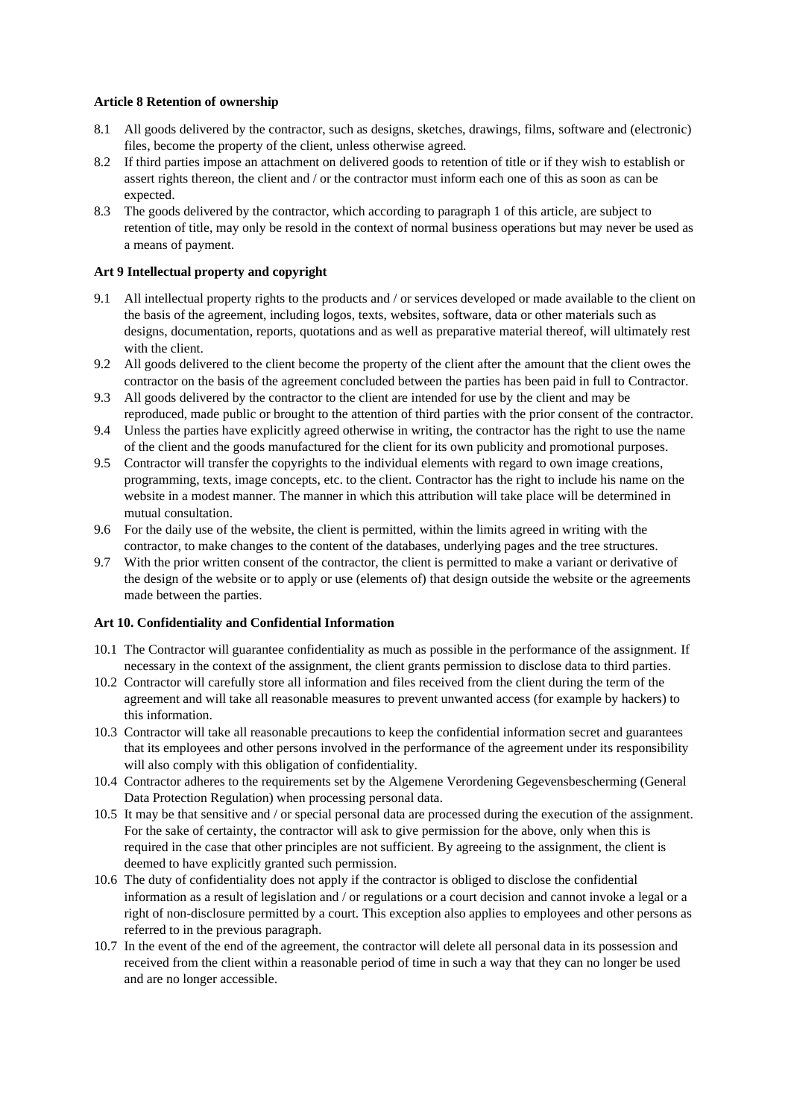### **Article 8 Retention of ownership**

- 8.1 All goods delivered by the contractor, such as designs, sketches, drawings, films, software and (electronic) files, become the property of the client, unless otherwise agreed.
- 8.2 If third parties impose an attachment on delivered goods to retention of title or if they wish to establish or assert rights thereon, the client and / or the contractor must inform each one of this as soon as can be expected.
- 8.3 The goods delivered by the contractor, which according to paragraph 1 of this article, are subject to retention of title, may only be resold in the context of normal business operations but may never be used as a means of payment.

### **Art 9 Intellectual property and copyright**

- 9.1 All intellectual property rights to the products and / or services developed or made available to the client on the basis of the agreement, including logos, texts, websites, software, data or other materials such as designs, documentation, reports, quotations and as well as preparative material thereof, will ultimately rest with the client.
- 9.2 All goods delivered to the client become the property of the client after the amount that the client owes the contractor on the basis of the agreement concluded between the parties has been paid in full to Contractor.
- 9.3 All goods delivered by the contractor to the client are intended for use by the client and may be reproduced, made public or brought to the attention of third parties with the prior consent of the contractor.
- 9.4 Unless the parties have explicitly agreed otherwise in writing, the contractor has the right to use the name of the client and the goods manufactured for the client for its own publicity and promotional purposes.
- 9.5 Contractor will transfer the copyrights to the individual elements with regard to own image creations, programming, texts, image concepts, etc. to the client. Contractor has the right to include his name on the website in a modest manner. The manner in which this attribution will take place will be determined in mutual consultation.
- 9.6 For the daily use of the website, the client is permitted, within the limits agreed in writing with the contractor, to make changes to the content of the databases, underlying pages and the tree structures.
- 9.7 With the prior written consent of the contractor, the client is permitted to make a variant or derivative of the design of the website or to apply or use (elements of) that design outside the website or the agreements made between the parties.

### **Art 10. Confidentiality and Confidential Information**

- 10.1 The Contractor will guarantee confidentiality as much as possible in the performance of the assignment. If necessary in the context of the assignment, the client grants permission to disclose data to third parties.
- 10.2 Contractor will carefully store all information and files received from the client during the term of the agreement and will take all reasonable measures to prevent unwanted access (for example by hackers) to this information.
- 10.3 Contractor will take all reasonable precautions to keep the confidential information secret and guarantees that its employees and other persons involved in the performance of the agreement under its responsibility will also comply with this obligation of confidentiality.
- 10.4 Contractor adheres to the requirements set by the Algemene Verordening Gegevensbescherming (General Data Protection Regulation) when processing personal data.
- 10.5 It may be that sensitive and / or special personal data are processed during the execution of the assignment. For the sake of certainty, the contractor will ask to give permission for the above, only when this is required in the case that other principles are not sufficient. By agreeing to the assignment, the client is deemed to have explicitly granted such permission.
- 10.6 The duty of confidentiality does not apply if the contractor is obliged to disclose the confidential information as a result of legislation and / or regulations or a court decision and cannot invoke a legal or a right of non-disclosure permitted by a court. This exception also applies to employees and other persons as referred to in the previous paragraph.
- 10.7 In the event of the end of the agreement, the contractor will delete all personal data in its possession and received from the client within a reasonable period of time in such a way that they can no longer be used and are no longer accessible.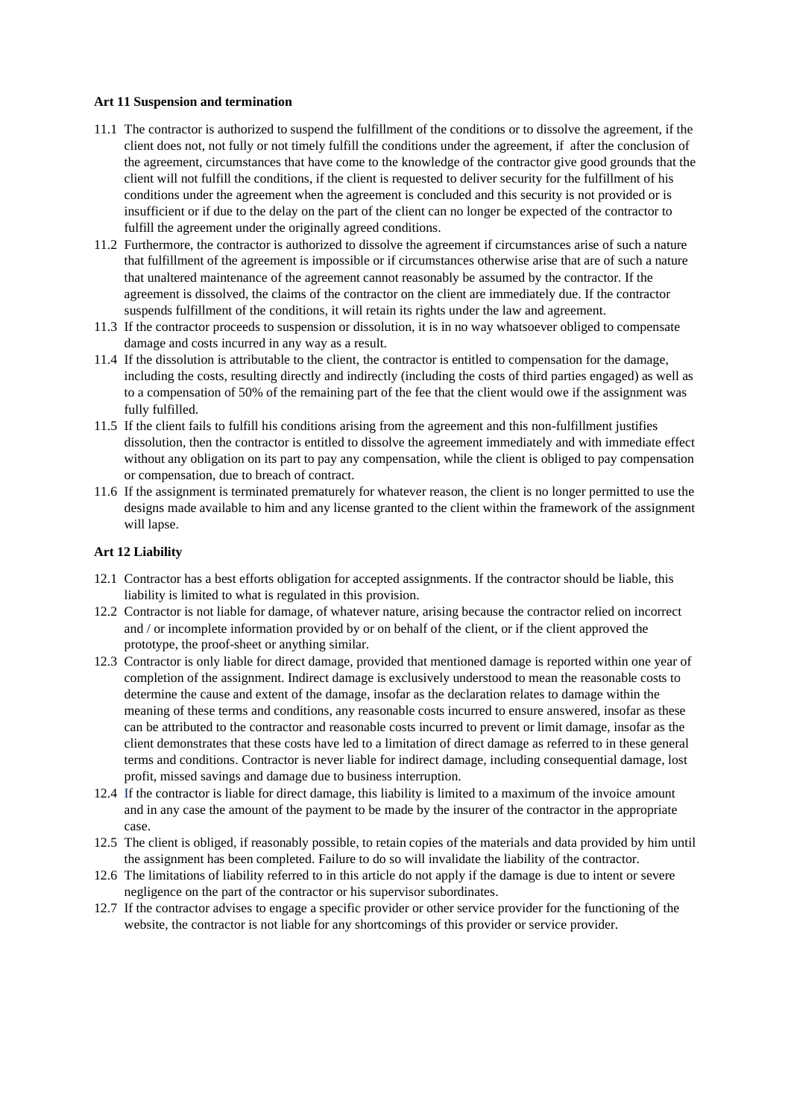#### **Art 11 Suspension and termination**

- 11.1 The contractor is authorized to suspend the fulfillment of the conditions or to dissolve the agreement, if the client does not, not fully or not timely fulfill the conditions under the agreement, if after the conclusion of the agreement, circumstances that have come to the knowledge of the contractor give good grounds that the client will not fulfill the conditions, if the client is requested to deliver security for the fulfillment of his conditions under the agreement when the agreement is concluded and this security is not provided or is insufficient or if due to the delay on the part of the client can no longer be expected of the contractor to fulfill the agreement under the originally agreed conditions.
- 11.2 Furthermore, the contractor is authorized to dissolve the agreement if circumstances arise of such a nature that fulfillment of the agreement is impossible or if circumstances otherwise arise that are of such a nature that unaltered maintenance of the agreement cannot reasonably be assumed by the contractor. If the agreement is dissolved, the claims of the contractor on the client are immediately due. If the contractor suspends fulfillment of the conditions, it will retain its rights under the law and agreement.
- 11.3 If the contractor proceeds to suspension or dissolution, it is in no way whatsoever obliged to compensate damage and costs incurred in any way as a result.
- 11.4 If the dissolution is attributable to the client, the contractor is entitled to compensation for the damage, including the costs, resulting directly and indirectly (including the costs of third parties engaged) as well as to a compensation of 50% of the remaining part of the fee that the client would owe if the assignment was fully fulfilled.
- 11.5 If the client fails to fulfill his conditions arising from the agreement and this non-fulfillment justifies dissolution, then the contractor is entitled to dissolve the agreement immediately and with immediate effect without any obligation on its part to pay any compensation, while the client is obliged to pay compensation or compensation, due to breach of contract.
- 11.6 If the assignment is terminated prematurely for whatever reason, the client is no longer permitted to use the designs made available to him and any license granted to the client within the framework of the assignment will lapse.

### **Art 12 Liability**

- 12.1 Contractor has a best efforts obligation for accepted assignments. If the contractor should be liable, this liability is limited to what is regulated in this provision.
- 12.2 Contractor is not liable for damage, of whatever nature, arising because the contractor relied on incorrect and / or incomplete information provided by or on behalf of the client, or if the client approved the prototype, the proof-sheet or anything similar.
- 12.3 Contractor is only liable for direct damage, provided that mentioned damage is reported within one year of completion of the assignment. Indirect damage is exclusively understood to mean the reasonable costs to determine the cause and extent of the damage, insofar as the declaration relates to damage within the meaning of these terms and conditions, any reasonable costs incurred to ensure answered, insofar as these can be attributed to the contractor and reasonable costs incurred to prevent or limit damage, insofar as the client demonstrates that these costs have led to a limitation of direct damage as referred to in these general terms and conditions. Contractor is never liable for indirect damage, including consequential damage, lost profit, missed savings and damage due to business interruption.
- 12.4 If the contractor is liable for direct damage, this liability is limited to a maximum of the invoice amount and in any case the amount of the payment to be made by the insurer of the contractor in the appropriate case.
- 12.5 The client is obliged, if reasonably possible, to retain copies of the materials and data provided by him until the assignment has been completed. Failure to do so will invalidate the liability of the contractor.
- 12.6 The limitations of liability referred to in this article do not apply if the damage is due to intent or severe negligence on the part of the contractor or his supervisor subordinates.
- 12.7 If the contractor advises to engage a specific provider or other service provider for the functioning of the website, the contractor is not liable for any shortcomings of this provider or service provider.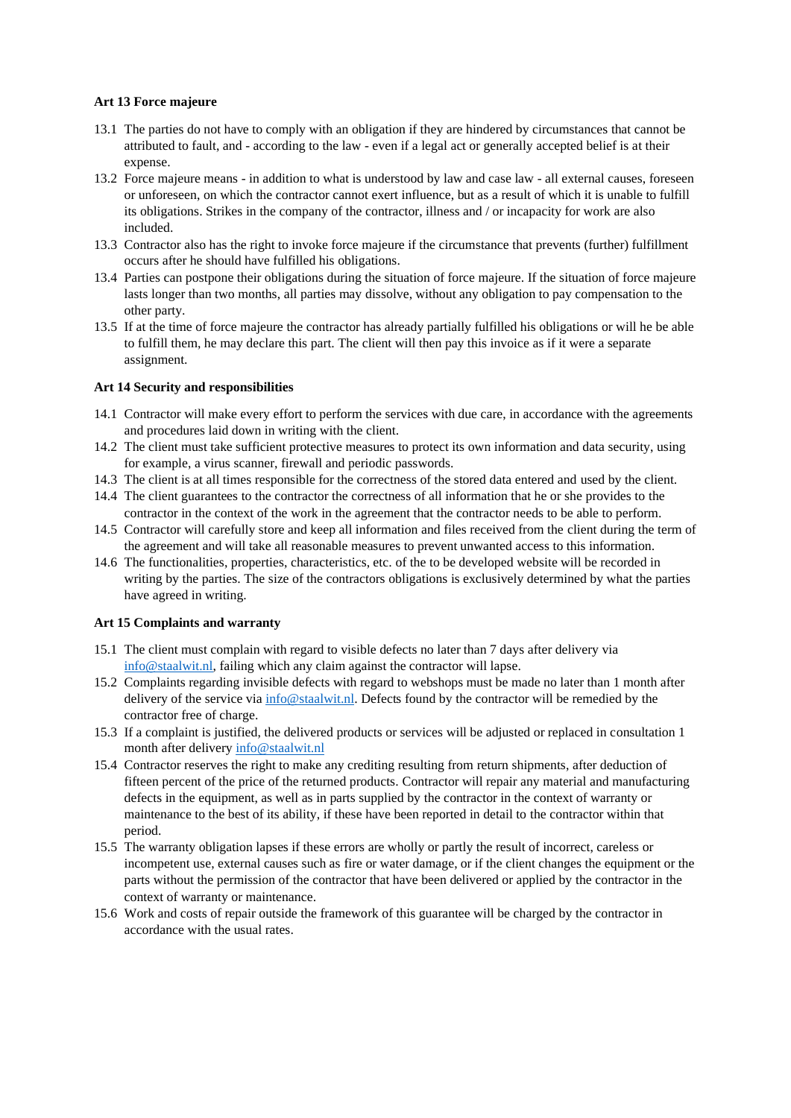### **Art 13 Force majeure**

- 13.1 The parties do not have to comply with an obligation if they are hindered by circumstances that cannot be attributed to fault, and - according to the law - even if a legal act or generally accepted belief is at their expense.
- 13.2 Force majeure means in addition to what is understood by law and case law all external causes, foreseen or unforeseen, on which the contractor cannot exert influence, but as a result of which it is unable to fulfill its obligations. Strikes in the company of the contractor, illness and / or incapacity for work are also included.
- 13.3 Contractor also has the right to invoke force majeure if the circumstance that prevents (further) fulfillment occurs after he should have fulfilled his obligations.
- 13.4 Parties can postpone their obligations during the situation of force majeure. If the situation of force majeure lasts longer than two months, all parties may dissolve, without any obligation to pay compensation to the other party.
- 13.5 If at the time of force majeure the contractor has already partially fulfilled his obligations or will he be able to fulfill them, he may declare this part. The client will then pay this invoice as if it were a separate assignment.

### **Art 14 Security and responsibilities**

- 14.1 Contractor will make every effort to perform the services with due care, in accordance with the agreements and procedures laid down in writing with the client.
- 14.2 The client must take sufficient protective measures to protect its own information and data security, using for example, a virus scanner, firewall and periodic passwords.
- 14.3 The client is at all times responsible for the correctness of the stored data entered and used by the client.
- 14.4 The client guarantees to the contractor the correctness of all information that he or she provides to the contractor in the context of the work in the agreement that the contractor needs to be able to perform.
- 14.5 Contractor will carefully store and keep all information and files received from the client during the term of the agreement and will take all reasonable measures to prevent unwanted access to this information.
- 14.6 The functionalities, properties, characteristics, etc. of the to be developed website will be recorded in writing by the parties. The size of the contractors obligations is exclusively determined by what the parties have agreed in writing.

### **Art 15 Complaints and warranty**

- 15.1 The client must complain with regard to visible defects no later than 7 days after delivery via [info@staalwit.nl,](mailto:info@staalwit.nl) failing which any claim against the contractor will lapse.
- 15.2 Complaints regarding invisible defects with regard to webshops must be made no later than 1 month after delivery of the service via [info@staalwit.nl.](mailto:info@staalwit.nl) Defects found by the contractor will be remedied by the contractor free of charge.
- 15.3 If a complaint is justified, the delivered products or services will be adjusted or replaced in consultation 1 month after deliver[y info@staalwit.nl](mailto:info@staalwit.nl)
- 15.4 Contractor reserves the right to make any crediting resulting from return shipments, after deduction of fifteen percent of the price of the returned products. Contractor will repair any material and manufacturing defects in the equipment, as well as in parts supplied by the contractor in the context of warranty or maintenance to the best of its ability, if these have been reported in detail to the contractor within that period.
- 15.5 The warranty obligation lapses if these errors are wholly or partly the result of incorrect, careless or incompetent use, external causes such as fire or water damage, or if the client changes the equipment or the parts without the permission of the contractor that have been delivered or applied by the contractor in the context of warranty or maintenance.
- 15.6 Work and costs of repair outside the framework of this guarantee will be charged by the contractor in accordance with the usual rates.